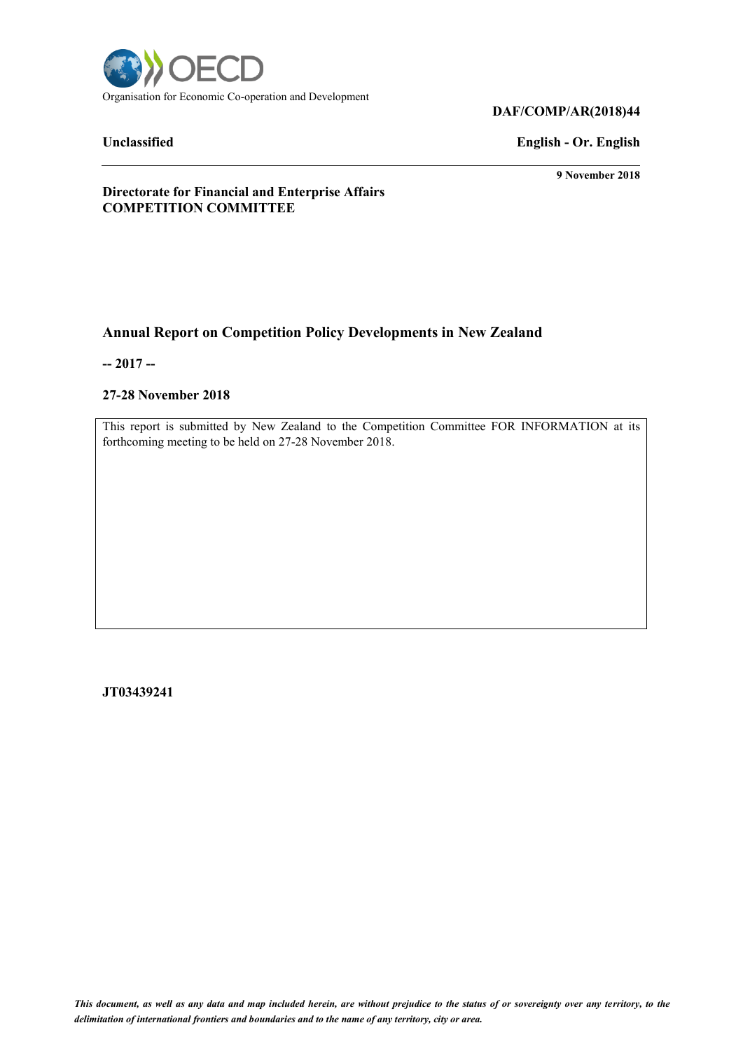

# **DAF/COMP/AR(2018)44**

# **Unclassified English - Or. English**

**9 November 2018**

**Directorate for Financial and Enterprise Affairs COMPETITION COMMITTEE**

# **Annual Report on Competition Policy Developments in New Zealand**

**-- 2017 --**

#### **27-28 November 2018**

This report is submitted by New Zealand to the Competition Committee FOR INFORMATION at its forthcoming meeting to be held on 27-28 November 2018.

**JT03439241**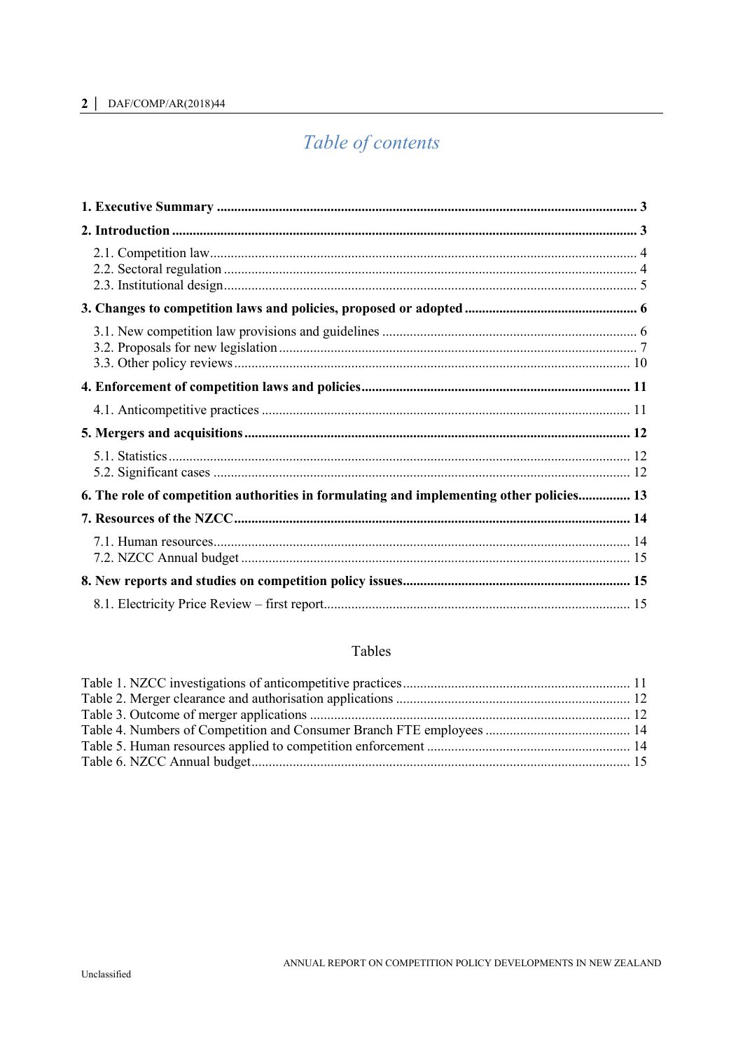# 2 | DAF/COMP/AR(2018)44

# Table of contents

| 6. The role of competition authorities in formulating and implementing other policies 13 |  |
|------------------------------------------------------------------------------------------|--|
|                                                                                          |  |
|                                                                                          |  |
|                                                                                          |  |
|                                                                                          |  |

# Tables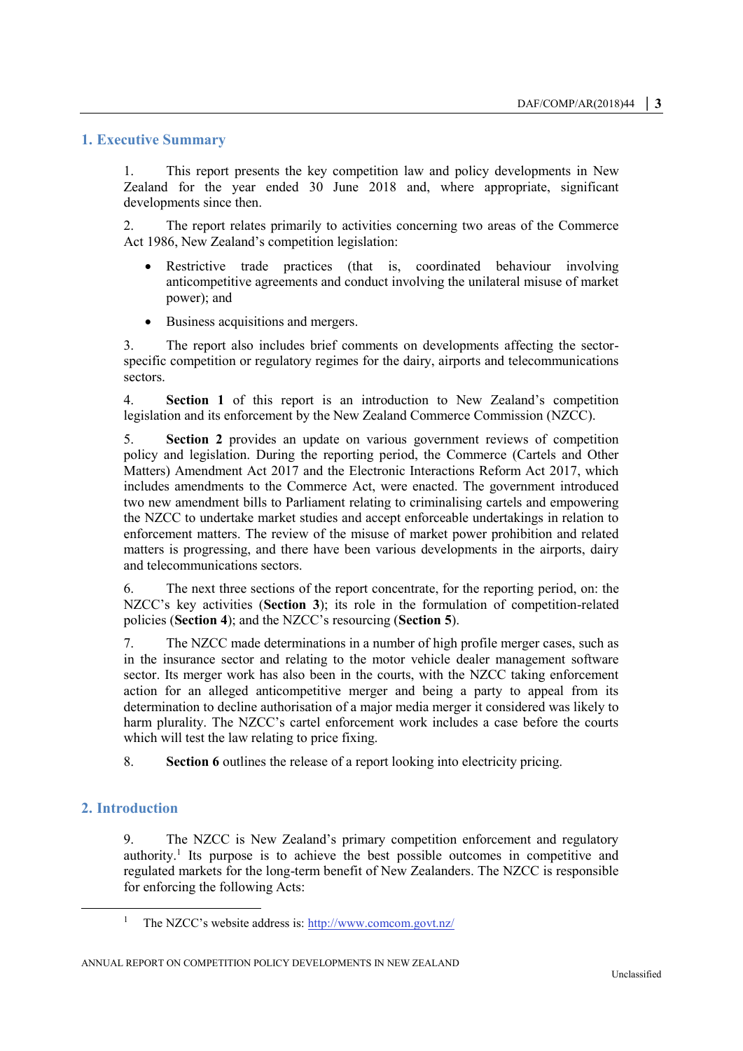# <span id="page-2-0"></span>**1. Executive Summary**

1. This report presents the key competition law and policy developments in New Zealand for the year ended 30 June 2018 and, where appropriate, significant developments since then.

2. The report relates primarily to activities concerning two areas of the Commerce Act 1986, New Zealand's competition legislation:

- Restrictive trade practices (that is, coordinated behaviour involving anticompetitive agreements and conduct involving the unilateral misuse of market power); and
- Business acquisitions and mergers.

3. The report also includes brief comments on developments affecting the sectorspecific competition or regulatory regimes for the dairy, airports and telecommunications sectors.

4. **Section 1** of this report is an introduction to New Zealand's competition legislation and its enforcement by the New Zealand Commerce Commission (NZCC).

5. **Section 2** provides an update on various government reviews of competition policy and legislation. During the reporting period, the Commerce (Cartels and Other Matters) Amendment Act 2017 and the Electronic Interactions Reform Act 2017, which includes amendments to the Commerce Act, were enacted. The government introduced two new amendment bills to Parliament relating to criminalising cartels and empowering the NZCC to undertake market studies and accept enforceable undertakings in relation to enforcement matters. The review of the misuse of market power prohibition and related matters is progressing, and there have been various developments in the airports, dairy and telecommunications sectors.

6. The next three sections of the report concentrate, for the reporting period, on: the NZCC's key activities (**Section 3**); its role in the formulation of competition-related policies (**Section 4**); and the NZCC's resourcing (**Section 5**).

7. The NZCC made determinations in a number of high profile merger cases, such as in the insurance sector and relating to the motor vehicle dealer management software sector. Its merger work has also been in the courts, with the NZCC taking enforcement action for an alleged anticompetitive merger and being a party to appeal from its determination to decline authorisation of a major media merger it considered was likely to harm plurality. The NZCC's cartel enforcement work includes a case before the courts which will test the law relating to price fixing.

8. **Section 6** outlines the release of a report looking into electricity pricing.

# <span id="page-2-1"></span>**2. Introduction**

 $\overline{a}$ 

9. The NZCC is New Zealand's primary competition enforcement and regulatory authority.<sup>1</sup> Its purpose is to achieve the best possible outcomes in competitive and regulated markets for the long-term benefit of New Zealanders. The NZCC is responsible for enforcing the following Acts:

<sup>&</sup>lt;sup>1</sup> The NZCC's website address is:<http://www.comcom.govt.nz/>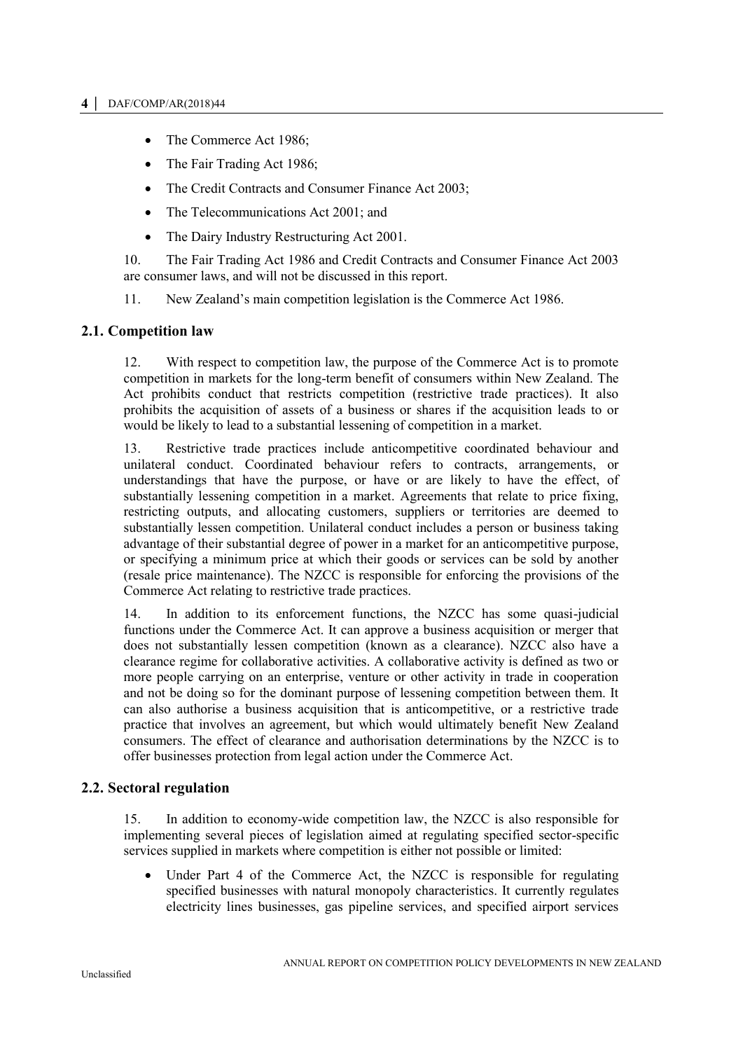- The Commerce Act 1986;
- The Fair Trading Act 1986;
- The Credit Contracts and Consumer Finance Act 2003;
- The Telecommunications Act 2001; and
- The Dairy Industry Restructuring Act 2001.

10. The Fair Trading Act 1986 and Credit Contracts and Consumer Finance Act 2003 are consumer laws, and will not be discussed in this report.

11. New Zealand's main competition legislation is the Commerce Act 1986.

# <span id="page-3-0"></span>**2.1. Competition law**

12. With respect to competition law, the purpose of the Commerce Act is to promote competition in markets for the long-term benefit of consumers within New Zealand. The Act prohibits conduct that restricts competition (restrictive trade practices). It also prohibits the acquisition of assets of a business or shares if the acquisition leads to or would be likely to lead to a substantial lessening of competition in a market.

13. Restrictive trade practices include anticompetitive coordinated behaviour and unilateral conduct. Coordinated behaviour refers to contracts, arrangements, or understandings that have the purpose, or have or are likely to have the effect, of substantially lessening competition in a market. Agreements that relate to price fixing, restricting outputs, and allocating customers, suppliers or territories are deemed to substantially lessen competition. Unilateral conduct includes a person or business taking advantage of their substantial degree of power in a market for an anticompetitive purpose, or specifying a minimum price at which their goods or services can be sold by another (resale price maintenance). The NZCC is responsible for enforcing the provisions of the Commerce Act relating to restrictive trade practices.

14. In addition to its enforcement functions, the NZCC has some quasi-judicial functions under the Commerce Act. It can approve a business acquisition or merger that does not substantially lessen competition (known as a clearance). NZCC also have a clearance regime for collaborative activities. A collaborative activity is defined as two or more people carrying on an enterprise, venture or other activity in trade in cooperation and not be doing so for the dominant purpose of lessening competition between them. It can also authorise a business acquisition that is anticompetitive, or a restrictive trade practice that involves an agreement, but which would ultimately benefit New Zealand consumers. The effect of clearance and authorisation determinations by the NZCC is to offer businesses protection from legal action under the Commerce Act.

# <span id="page-3-1"></span>**2.2. Sectoral regulation**

15. In addition to economy-wide competition law, the NZCC is also responsible for implementing several pieces of legislation aimed at regulating specified sector-specific services supplied in markets where competition is either not possible or limited:

 Under Part 4 of the Commerce Act, the NZCC is responsible for regulating specified businesses with natural monopoly characteristics. It currently regulates electricity lines businesses, gas pipeline services, and specified airport services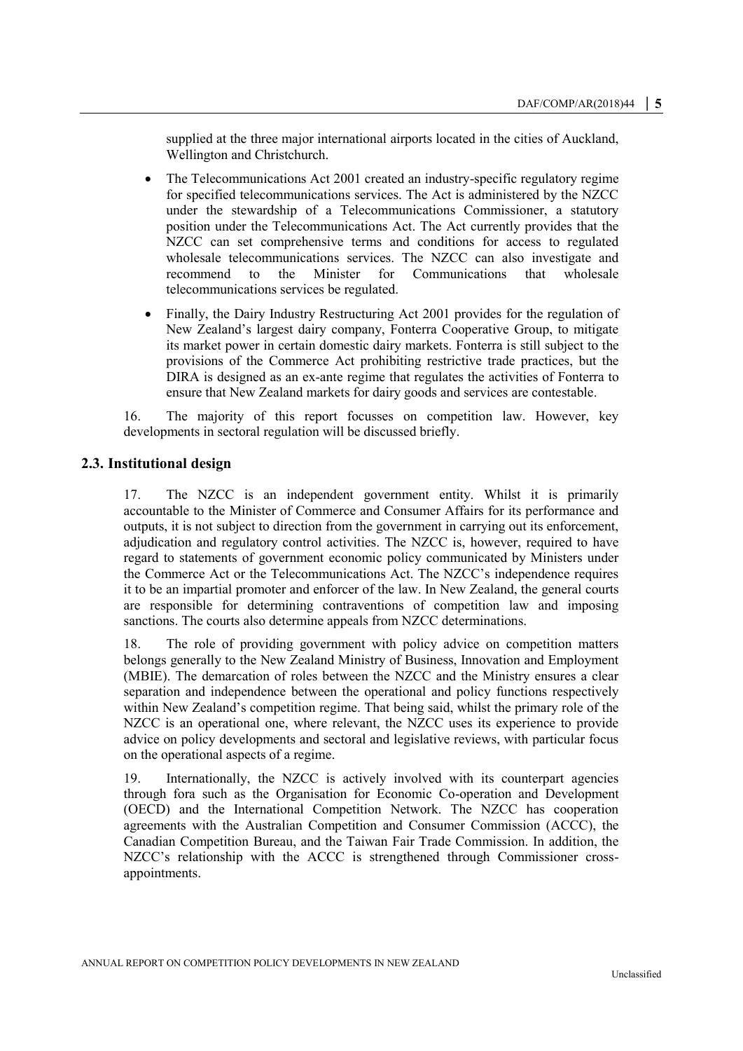supplied at the three major international airports located in the cities of Auckland, Wellington and Christchurch.

- The Telecommunications Act 2001 created an industry-specific regulatory regime for specified telecommunications services. The Act is administered by the NZCC under the stewardship of a Telecommunications Commissioner, a statutory position under the Telecommunications Act. The Act currently provides that the NZCC can set comprehensive terms and conditions for access to regulated wholesale telecommunications services. The NZCC can also investigate and recommend to the Minister for Communications that wholesale telecommunications services be regulated.
- Finally, the Dairy Industry Restructuring Act 2001 provides for the regulation of New Zealand's largest dairy company, Fonterra Cooperative Group, to mitigate its market power in certain domestic dairy markets. Fonterra is still subject to the provisions of the Commerce Act prohibiting restrictive trade practices, but the DIRA is designed as an ex-ante regime that regulates the activities of Fonterra to ensure that New Zealand markets for dairy goods and services are contestable.

16. The majority of this report focusses on competition law. However, key developments in sectoral regulation will be discussed briefly.

# <span id="page-4-0"></span>**2.3. Institutional design**

17. The NZCC is an independent government entity. Whilst it is primarily accountable to the Minister of Commerce and Consumer Affairs for its performance and outputs, it is not subject to direction from the government in carrying out its enforcement, adjudication and regulatory control activities. The NZCC is, however, required to have regard to statements of government economic policy communicated by Ministers under the Commerce Act or the Telecommunications Act. The NZCC's independence requires it to be an impartial promoter and enforcer of the law. In New Zealand, the general courts are responsible for determining contraventions of competition law and imposing sanctions. The courts also determine appeals from NZCC determinations.

18. The role of providing government with policy advice on competition matters belongs generally to the New Zealand Ministry of Business, Innovation and Employment (MBIE). The demarcation of roles between the NZCC and the Ministry ensures a clear separation and independence between the operational and policy functions respectively within New Zealand's competition regime. That being said, whilst the primary role of the NZCC is an operational one, where relevant, the NZCC uses its experience to provide advice on policy developments and sectoral and legislative reviews, with particular focus on the operational aspects of a regime.

19. Internationally, the NZCC is actively involved with its counterpart agencies through fora such as the Organisation for Economic Co-operation and Development (OECD) and the International Competition Network. The NZCC has cooperation agreements with the Australian Competition and Consumer Commission (ACCC), the Canadian Competition Bureau, and the Taiwan Fair Trade Commission. In addition, the NZCC's relationship with the ACCC is strengthened through Commissioner crossappointments.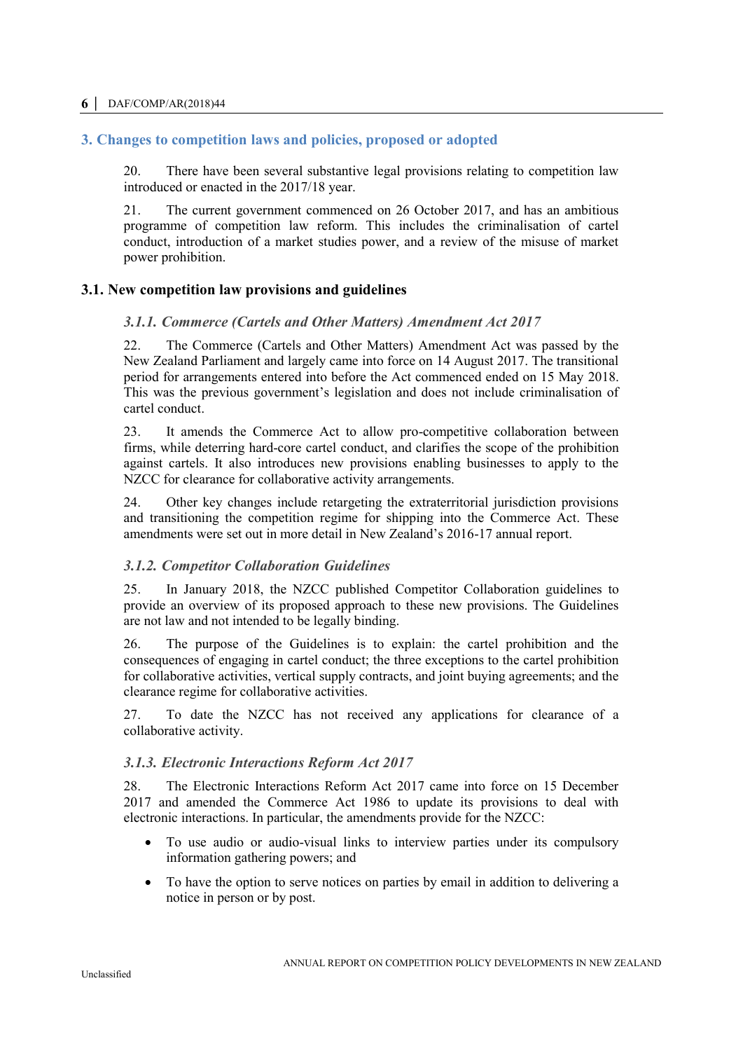# **6 │** DAF/COMP/AR(2018)44

# <span id="page-5-0"></span>**3. Changes to competition laws and policies, proposed or adopted**

20. There have been several substantive legal provisions relating to competition law introduced or enacted in the 2017/18 year.

21. The current government commenced on 26 October 2017, and has an ambitious programme of competition law reform. This includes the criminalisation of cartel conduct, introduction of a market studies power, and a review of the misuse of market power prohibition.

# <span id="page-5-1"></span>**3.1. New competition law provisions and guidelines**

# *3.1.1. Commerce (Cartels and Other Matters) Amendment Act 2017*

22. The Commerce (Cartels and Other Matters) Amendment Act was passed by the New Zealand Parliament and largely came into force on 14 August 2017. The transitional period for arrangements entered into before the Act commenced ended on 15 May 2018. This was the previous government's legislation and does not include criminalisation of cartel conduct.

23. It amends the Commerce Act to allow pro-competitive collaboration between firms, while deterring hard-core cartel conduct, and clarifies the scope of the prohibition against cartels. It also introduces new provisions enabling businesses to apply to the NZCC for clearance for collaborative activity arrangements.

24. Other key changes include retargeting the extraterritorial jurisdiction provisions and transitioning the competition regime for shipping into the Commerce Act. These amendments were set out in more detail in New Zealand's 2016-17 annual report.

## *3.1.2. Competitor Collaboration Guidelines*

25. In January 2018, the NZCC published Competitor Collaboration guidelines to provide an overview of its proposed approach to these new provisions. The Guidelines are not law and not intended to be legally binding.

26. The purpose of the Guidelines is to explain: the cartel prohibition and the consequences of engaging in cartel conduct; the three exceptions to the cartel prohibition for collaborative activities, vertical supply contracts, and joint buying agreements; and the clearance regime for collaborative activities.

27. To date the NZCC has not received any applications for clearance of a collaborative activity.

## *3.1.3. Electronic Interactions Reform Act 2017*

28. The Electronic Interactions Reform Act 2017 came into force on 15 December 2017 and amended the Commerce Act 1986 to update its provisions to deal with electronic interactions. In particular, the amendments provide for the NZCC:

- To use audio or audio-visual links to interview parties under its compulsory information gathering powers; and
- To have the option to serve notices on parties by email in addition to delivering a notice in person or by post.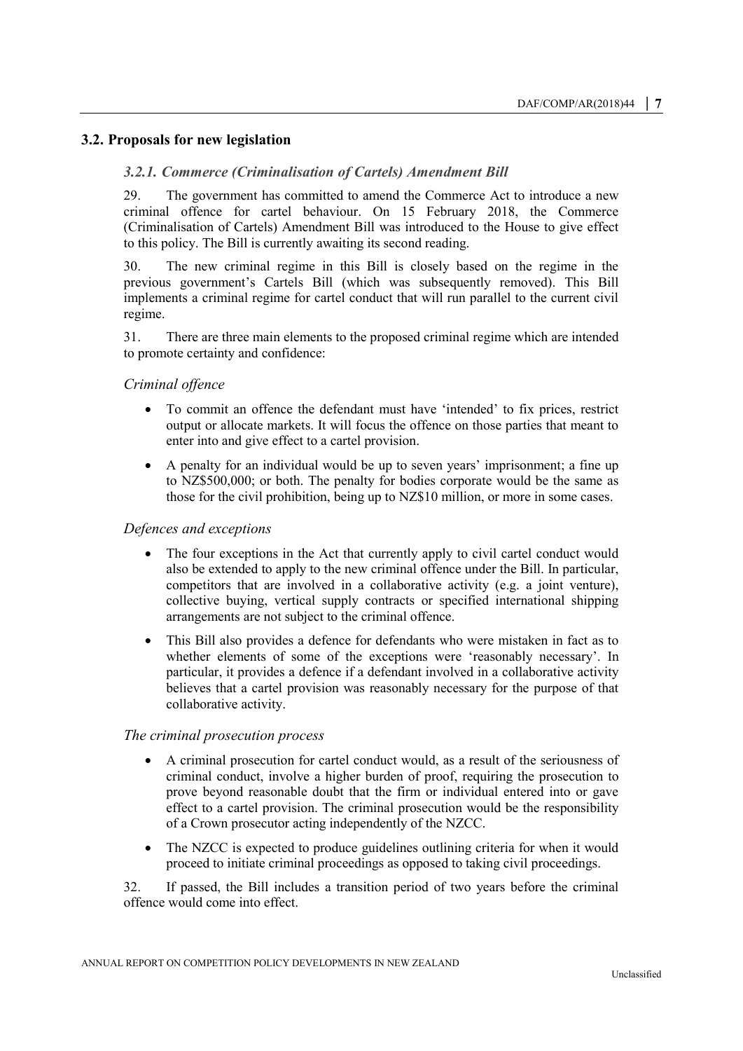# <span id="page-6-0"></span>**3.2. Proposals for new legislation**

## *3.2.1. Commerce (Criminalisation of Cartels) Amendment Bill*

29. The government has committed to amend the Commerce Act to introduce a new criminal offence for cartel behaviour. On 15 February 2018, the Commerce (Criminalisation of Cartels) Amendment Bill was introduced to the House to give effect to this policy. The Bill is currently awaiting its second reading.

30. The new criminal regime in this Bill is closely based on the regime in the previous government's Cartels Bill (which was subsequently removed). This Bill implements a criminal regime for cartel conduct that will run parallel to the current civil regime.

31. There are three main elements to the proposed criminal regime which are intended to promote certainty and confidence:

#### *Criminal offence*

- To commit an offence the defendant must have 'intended' to fix prices, restrict output or allocate markets. It will focus the offence on those parties that meant to enter into and give effect to a cartel provision.
- A penalty for an individual would be up to seven years' imprisonment; a fine up to NZ\$500,000; or both. The penalty for bodies corporate would be the same as those for the civil prohibition, being up to NZ\$10 million, or more in some cases.

# *Defences and exceptions*

- The four exceptions in the Act that currently apply to civil cartel conduct would also be extended to apply to the new criminal offence under the Bill. In particular, competitors that are involved in a collaborative activity (e.g. a joint venture), collective buying, vertical supply contracts or specified international shipping arrangements are not subject to the criminal offence.
- This Bill also provides a defence for defendants who were mistaken in fact as to whether elements of some of the exceptions were 'reasonably necessary'. In particular, it provides a defence if a defendant involved in a collaborative activity believes that a cartel provision was reasonably necessary for the purpose of that collaborative activity.

#### *The criminal prosecution process*

- A criminal prosecution for cartel conduct would, as a result of the seriousness of criminal conduct, involve a higher burden of proof, requiring the prosecution to prove beyond reasonable doubt that the firm or individual entered into or gave effect to a cartel provision. The criminal prosecution would be the responsibility of a Crown prosecutor acting independently of the NZCC.
- The NZCC is expected to produce guidelines outlining criteria for when it would proceed to initiate criminal proceedings as opposed to taking civil proceedings.

32. If passed, the Bill includes a transition period of two years before the criminal offence would come into effect.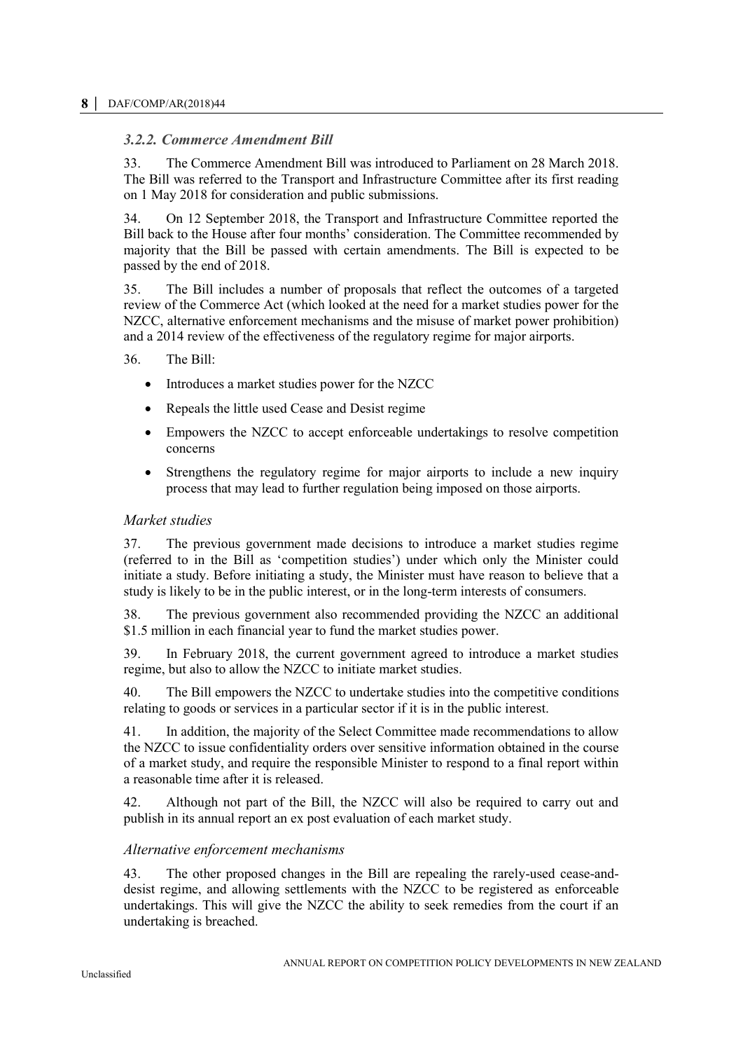# *3.2.2. Commerce Amendment Bill*

33. The Commerce Amendment Bill was introduced to Parliament on 28 March 2018. The Bill was referred to the Transport and Infrastructure Committee after its first reading on 1 May 2018 for consideration and public submissions.

34. On 12 September 2018, the Transport and Infrastructure Committee reported the Bill back to the House after four months' consideration. The Committee recommended by majority that the Bill be passed with certain amendments. The Bill is expected to be passed by the end of 2018.

35. The Bill includes a number of proposals that reflect the outcomes of a targeted review of the Commerce Act (which looked at the need for a market studies power for the NZCC, alternative enforcement mechanisms and the misuse of market power prohibition) and a 2014 review of the effectiveness of the regulatory regime for major airports.

36. The Bill:

- Introduces a market studies power for the NZCC
- Repeals the little used Cease and Desist regime
- Empowers the NZCC to accept enforceable undertakings to resolve competition concerns
- Strengthens the regulatory regime for major airports to include a new inquiry process that may lead to further regulation being imposed on those airports.

## *Market studies*

37. The previous government made decisions to introduce a market studies regime (referred to in the Bill as 'competition studies') under which only the Minister could initiate a study. Before initiating a study, the Minister must have reason to believe that a study is likely to be in the public interest, or in the long-term interests of consumers.

38. The previous government also recommended providing the NZCC an additional \$1.5 million in each financial year to fund the market studies power.

39. In February 2018, the current government agreed to introduce a market studies regime, but also to allow the NZCC to initiate market studies.

40. The Bill empowers the NZCC to undertake studies into the competitive conditions relating to goods or services in a particular sector if it is in the public interest.

41. In addition, the majority of the Select Committee made recommendations to allow the NZCC to issue confidentiality orders over sensitive information obtained in the course of a market study, and require the responsible Minister to respond to a final report within a reasonable time after it is released.

42. Although not part of the Bill, the NZCC will also be required to carry out and publish in its annual report an ex post evaluation of each market study.

## *Alternative enforcement mechanisms*

43. The other proposed changes in the Bill are repealing the rarely-used cease-anddesist regime, and allowing settlements with the NZCC to be registered as enforceable undertakings. This will give the NZCC the ability to seek remedies from the court if an undertaking is breached.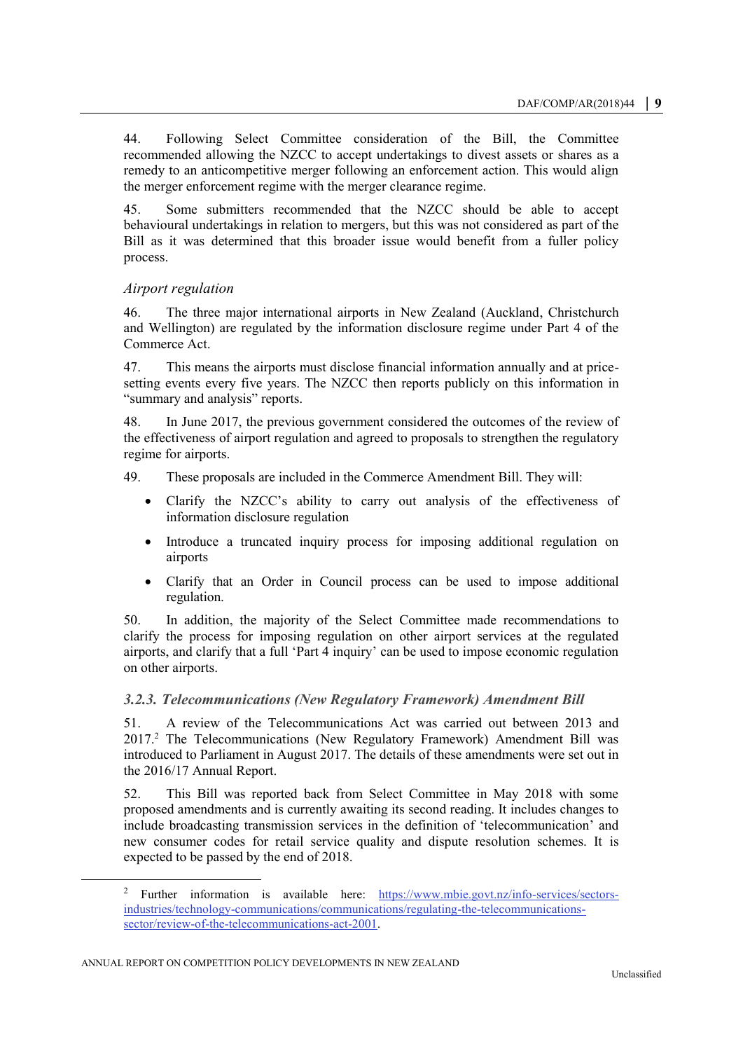44. Following Select Committee consideration of the Bill, the Committee recommended allowing the NZCC to accept undertakings to divest assets or shares as a remedy to an anticompetitive merger following an enforcement action. This would align the merger enforcement regime with the merger clearance regime.

45. Some submitters recommended that the NZCC should be able to accept behavioural undertakings in relation to mergers, but this was not considered as part of the Bill as it was determined that this broader issue would benefit from a fuller policy process.

# *Airport regulation*

46. The three major international airports in New Zealand (Auckland, Christchurch and Wellington) are regulated by the information disclosure regime under Part 4 of the Commerce Act.

47. This means the airports must disclose financial information annually and at pricesetting events every five years. The NZCC then reports publicly on this information in "summary and analysis" reports.

48. In June 2017, the previous government considered the outcomes of the review of the effectiveness of airport regulation and agreed to proposals to strengthen the regulatory regime for airports.

- 49. These proposals are included in the Commerce Amendment Bill. They will:
	- Clarify the NZCC's ability to carry out analysis of the effectiveness of information disclosure regulation
	- Introduce a truncated inquiry process for imposing additional regulation on airports
	- Clarify that an Order in Council process can be used to impose additional regulation.

50. In addition, the majority of the Select Committee made recommendations to clarify the process for imposing regulation on other airport services at the regulated airports, and clarify that a full 'Part 4 inquiry' can be used to impose economic regulation on other airports.

# *3.2.3. Telecommunications (New Regulatory Framework) Amendment Bill*

51. A review of the Telecommunications Act was carried out between 2013 and 2017.<sup>2</sup> The Telecommunications (New Regulatory Framework) Amendment Bill was introduced to Parliament in August 2017. The details of these amendments were set out in the 2016/17 Annual Report.

52. This Bill was reported back from Select Committee in May 2018 with some proposed amendments and is currently awaiting its second reading. It includes changes to include broadcasting transmission services in the definition of 'telecommunication' and new consumer codes for retail service quality and dispute resolution schemes. It is expected to be passed by the end of 2018.

<sup>&</sup>lt;sup>2</sup> Further information is available here: [https://www.mbie.govt.nz/info-services/sectors](https://www.mbie.govt.nz/info-services/sectors-industries/technology-communications/communications/regulating-the-telecommunications-sector/review-of-the-telecommunications-act-2001)[industries/technology-communications/communications/regulating-the-telecommunications](https://www.mbie.govt.nz/info-services/sectors-industries/technology-communications/communications/regulating-the-telecommunications-sector/review-of-the-telecommunications-act-2001)[sector/review-of-the-telecommunications-act-2001.](https://www.mbie.govt.nz/info-services/sectors-industries/technology-communications/communications/regulating-the-telecommunications-sector/review-of-the-telecommunications-act-2001)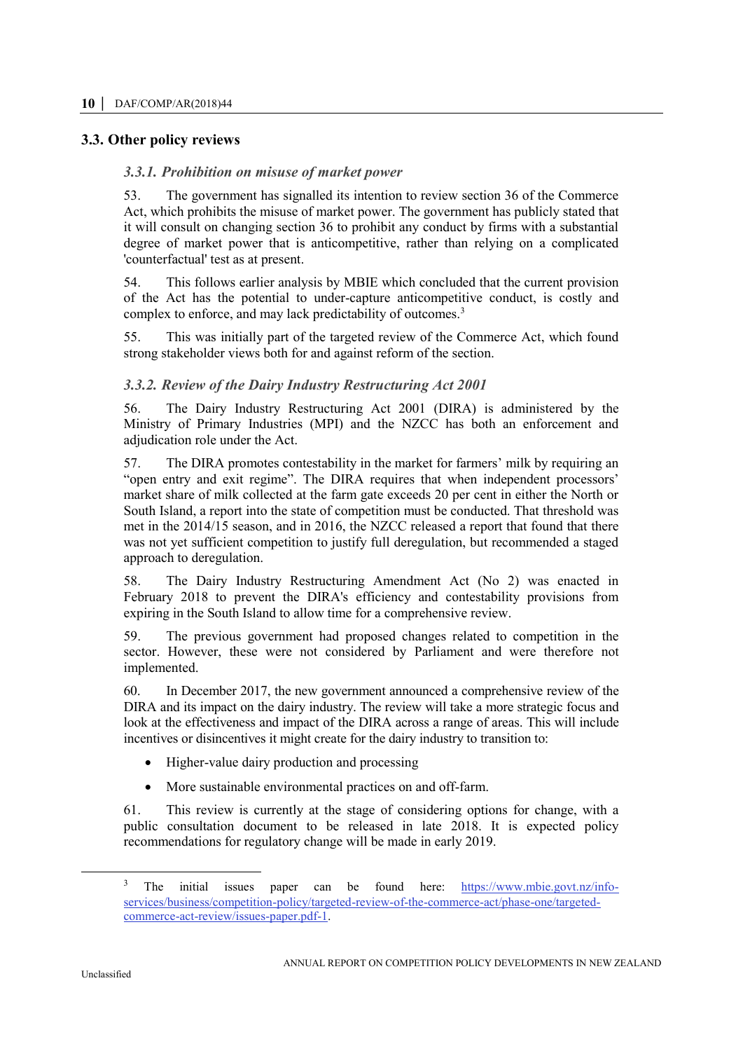# <span id="page-9-0"></span>**3.3. Other policy reviews**

# *3.3.1. Prohibition on misuse of market power*

53. The government has signalled its intention to review section 36 of the Commerce Act, which prohibits the misuse of market power. The government has publicly stated that it will consult on changing section 36 to prohibit any conduct by firms with a substantial degree of market power that is anticompetitive, rather than relying on a complicated 'counterfactual' test as at present.

54. This follows earlier analysis by MBIE which concluded that the current provision of the Act has the potential to under-capture anticompetitive conduct, is costly and complex to enforce, and may lack predictability of outcomes.<sup>3</sup>

55. This was initially part of the targeted review of the Commerce Act, which found strong stakeholder views both for and against reform of the section.

# *3.3.2. Review of the Dairy Industry Restructuring Act 2001*

56. The Dairy Industry Restructuring Act 2001 (DIRA) is administered by the Ministry of Primary Industries (MPI) and the NZCC has both an enforcement and adjudication role under the Act.

57. The DIRA promotes contestability in the market for farmers' milk by requiring an "open entry and exit regime". The DIRA requires that when independent processors' market share of milk collected at the farm gate exceeds 20 per cent in either the North or South Island, a report into the state of competition must be conducted. That threshold was met in the 2014/15 season, and in 2016, the NZCC released a report that found that there was not yet sufficient competition to justify full deregulation, but recommended a staged approach to deregulation.

58. The Dairy Industry Restructuring Amendment Act (No 2) was enacted in February 2018 to prevent the DIRA's efficiency and contestability provisions from expiring in the South Island to allow time for a comprehensive review.

59. The previous government had proposed changes related to competition in the sector. However, these were not considered by Parliament and were therefore not implemented.

60. In December 2017, the new government announced a comprehensive review of the DIRA and its impact on the dairy industry. The review will take a more strategic focus and look at the effectiveness and impact of the DIRA across a range of areas. This will include incentives or disincentives it might create for the dairy industry to transition to:

- Higher-value dairy production and processing
- More sustainable environmental practices on and off-farm.

61. This review is currently at the stage of considering options for change, with a public consultation document to be released in late 2018. It is expected policy recommendations for regulatory change will be made in early 2019.

<sup>&</sup>lt;sup>3</sup> The initial issues paper can be found here: [https://www.mbie.govt.nz/info](https://www.mbie.govt.nz/info-services/business/competition-policy/targeted-review-of-the-commerce-act/phase-one/targeted-commerce-act-review/issues-paper.pdf-1)[services/business/competition-policy/targeted-review-of-the-commerce-act/phase-one/targeted](https://www.mbie.govt.nz/info-services/business/competition-policy/targeted-review-of-the-commerce-act/phase-one/targeted-commerce-act-review/issues-paper.pdf-1)[commerce-act-review/issues-paper.pdf-1.](https://www.mbie.govt.nz/info-services/business/competition-policy/targeted-review-of-the-commerce-act/phase-one/targeted-commerce-act-review/issues-paper.pdf-1)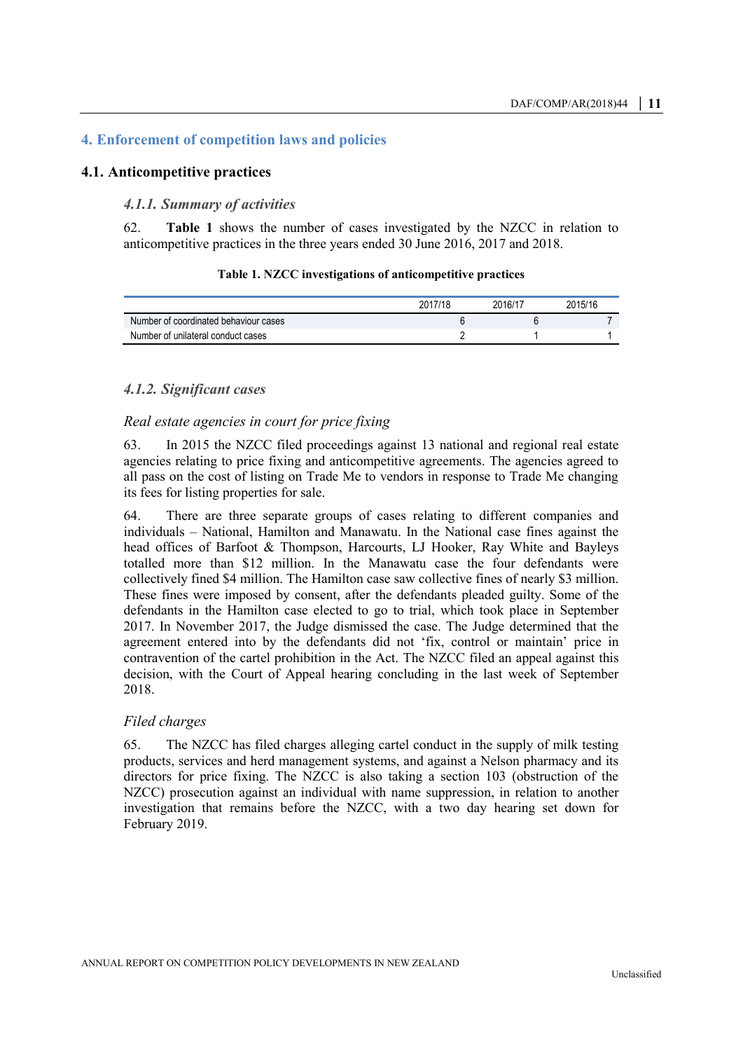# <span id="page-10-0"></span>**4. Enforcement of competition laws and policies**

# <span id="page-10-1"></span>**4.1. Anticompetitive practices**

#### *4.1.1. Summary of activities*

62. **Table 1** shows the number of cases investigated by the NZCC in relation to anticompetitive practices in the three years ended 30 June 2016, 2017 and 2018.

|  | Table 1. NZCC investigations of anticompetitive practices |
|--|-----------------------------------------------------------|
|--|-----------------------------------------------------------|

<span id="page-10-2"></span>

|                                       | 2017/18 | 2016/1 | 2015/16 |
|---------------------------------------|---------|--------|---------|
| Number of coordinated behaviour cases |         |        |         |
| Number of unilateral conduct cases    |         |        |         |

## *4.1.2. Significant cases*

# *Real estate agencies in court for price fixing*

63. In 2015 the NZCC filed proceedings against 13 national and regional real estate agencies relating to price fixing and anticompetitive agreements. The agencies agreed to all pass on the cost of listing on Trade Me to vendors in response to Trade Me changing its fees for listing properties for sale.

64. There are three separate groups of cases relating to different companies and individuals – National, Hamilton and Manawatu. In the National case fines against the head offices of Barfoot & Thompson, Harcourts, LJ Hooker, Ray White and Bayleys totalled more than \$12 million. In the Manawatu case the four defendants were collectively fined \$4 million. The Hamilton case saw collective fines of nearly \$3 million. These fines were imposed by consent, after the defendants pleaded guilty. Some of the defendants in the Hamilton case elected to go to trial, which took place in September 2017. In November 2017, the Judge dismissed the case. The Judge determined that the agreement entered into by the defendants did not 'fix, control or maintain' price in contravention of the cartel prohibition in the Act. The NZCC filed an appeal against this decision, with the Court of Appeal hearing concluding in the last week of September 2018.

#### *Filed charges*

65. The NZCC has filed charges alleging cartel conduct in the supply of milk testing products, services and herd management systems, and against a Nelson pharmacy and its directors for price fixing. The NZCC is also taking a section 103 (obstruction of the NZCC) prosecution against an individual with name suppression, in relation to another investigation that remains before the NZCC, with a two day hearing set down for February 2019.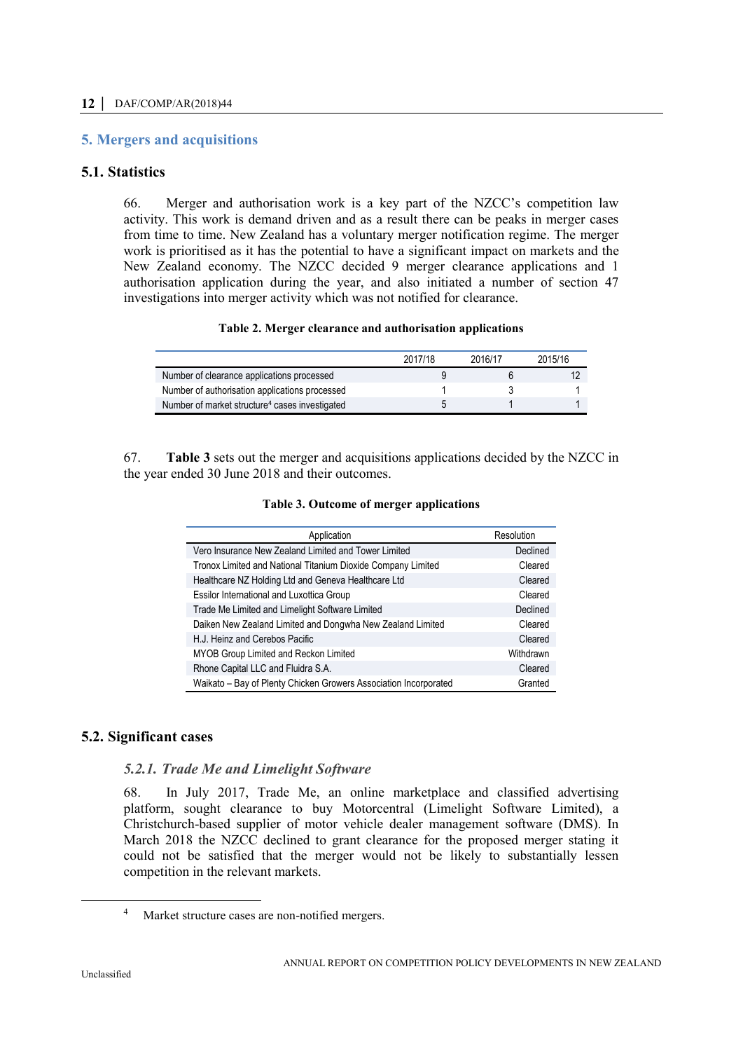# <span id="page-11-0"></span>**5. Mergers and acquisitions**

# <span id="page-11-1"></span>**5.1. Statistics**

66. Merger and authorisation work is a key part of the NZCC's competition law activity. This work is demand driven and as a result there can be peaks in merger cases from time to time. New Zealand has a voluntary merger notification regime. The merger work is prioritised as it has the potential to have a significant impact on markets and the New Zealand economy. The NZCC decided 9 merger clearance applications and 1 authorisation application during the year, and also initiated a number of section 47 investigations into merger activity which was not notified for clearance.

#### **Table 2. Merger clearance and authorisation applications**

<span id="page-11-3"></span>

|                                                            | 2017/18 | 2016/17 | 2015/16 |
|------------------------------------------------------------|---------|---------|---------|
| Number of clearance applications processed                 |         |         |         |
| Number of authorisation applications processed             |         |         |         |
| Number of market structure <sup>4</sup> cases investigated |         |         |         |

<span id="page-11-4"></span>67. **Table 3** sets out the merger and acquisitions applications decided by the NZCC in the year ended 30 June 2018 and their outcomes.

| Application                                                      | Resolution |
|------------------------------------------------------------------|------------|
| Vero Insurance New Zealand Limited and Tower Limited             | Declined   |
| Tronox Limited and National Titanium Dioxide Company Limited     | Cleared    |
| Healthcare NZ Holding Ltd and Geneva Healthcare Ltd              | Cleared    |
| Essilor International and Luxottica Group                        | Cleared    |
| Trade Me Limited and Limelight Software Limited                  | Declined   |
| Daiken New Zealand Limited and Dongwha New Zealand Limited       | Cleared    |
| H.J. Heinz and Cerebos Pacific                                   | Cleared    |
| MYOB Group Limited and Reckon Limited                            | Withdrawn  |
| Rhone Capital LLC and Fluidra S.A.                               | Cleared    |
| Waikato - Bay of Plenty Chicken Growers Association Incorporated | Granted    |

# <span id="page-11-2"></span>**5.2. Significant cases**

# *5.2.1. Trade Me and Limelight Software*

68. In July 2017, Trade Me, an online marketplace and classified advertising platform, sought clearance to buy Motorcentral (Limelight Software Limited), a Christchurch-based supplier of motor vehicle dealer management software (DMS). In March 2018 the NZCC declined to grant clearance for the proposed merger stating it could not be satisfied that the merger would not be likely to substantially lessen competition in the relevant markets.

 $\overline{a}$ 

<sup>4</sup> Market structure cases are non-notified mergers.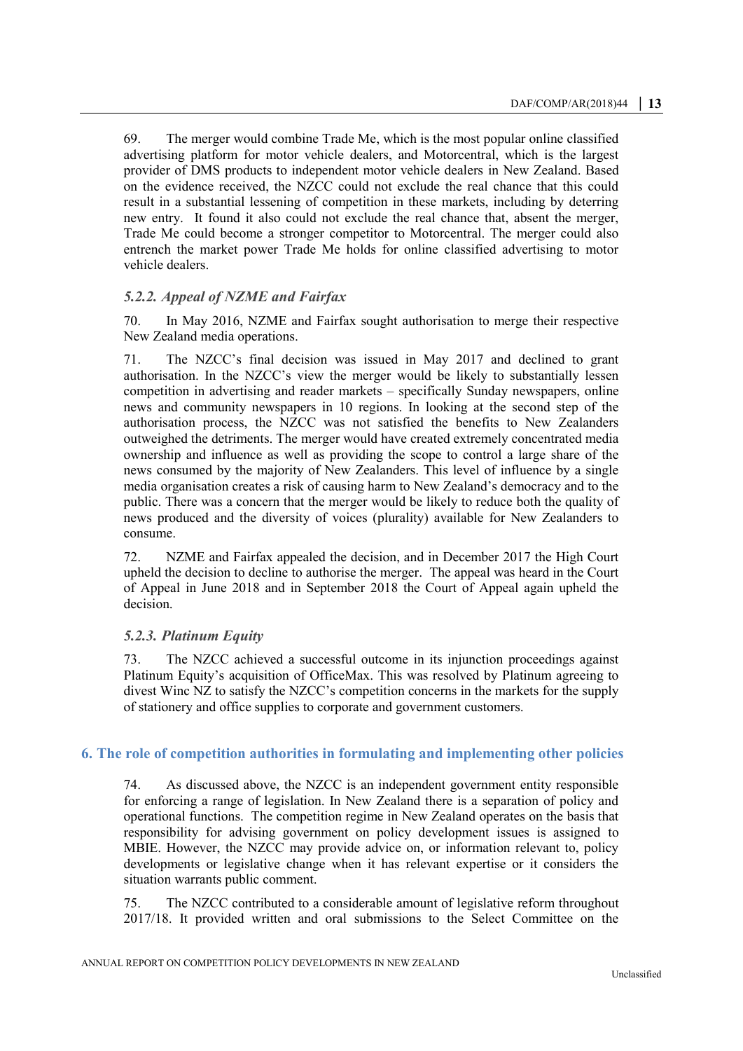69. The merger would combine Trade Me, which is the most popular online classified advertising platform for motor vehicle dealers, and Motorcentral, which is the largest provider of DMS products to independent motor vehicle dealers in New Zealand. Based on the evidence received, the NZCC could not exclude the real chance that this could result in a substantial lessening of competition in these markets, including by deterring new entry. It found it also could not exclude the real chance that, absent the merger, Trade Me could become a stronger competitor to Motorcentral. The merger could also entrench the market power Trade Me holds for online classified advertising to motor vehicle dealers.

# *5.2.2. Appeal of NZME and Fairfax*

70. In May 2016, NZME and Fairfax sought authorisation to merge their respective New Zealand media operations.

71. The NZCC's final decision was issued in May 2017 and declined to grant authorisation. In the NZCC's view the merger would be likely to substantially lessen competition in advertising and reader markets – specifically Sunday newspapers, online news and community newspapers in 10 regions. In looking at the second step of the authorisation process, the NZCC was not satisfied the benefits to New Zealanders outweighed the detriments. The merger would have created extremely concentrated media ownership and influence as well as providing the scope to control a large share of the news consumed by the majority of New Zealanders. This level of influence by a single media organisation creates a risk of causing harm to New Zealand's democracy and to the public. There was a concern that the merger would be likely to reduce both the quality of news produced and the diversity of voices (plurality) available for New Zealanders to consume.

72. NZME and Fairfax appealed the decision, and in December 2017 the High Court upheld the decision to decline to authorise the merger. The appeal was heard in the Court of Appeal in June 2018 and in September 2018 the Court of Appeal again upheld the decision.

## *5.2.3. Platinum Equity*

73. The NZCC achieved a successful outcome in its injunction proceedings against Platinum Equity's acquisition of OfficeMax. This was resolved by Platinum agreeing to divest Winc NZ to satisfy the NZCC's competition concerns in the markets for the supply of stationery and office supplies to corporate and government customers.

# <span id="page-12-0"></span>**6. The role of competition authorities in formulating and implementing other policies**

74. As discussed above, the NZCC is an independent government entity responsible for enforcing a range of legislation. In New Zealand there is a separation of policy and operational functions. The competition regime in New Zealand operates on the basis that responsibility for advising government on policy development issues is assigned to MBIE. However, the NZCC may provide advice on, or information relevant to, policy developments or legislative change when it has relevant expertise or it considers the situation warrants public comment.

75. The NZCC contributed to a considerable amount of legislative reform throughout 2017/18. It provided written and oral submissions to the Select Committee on the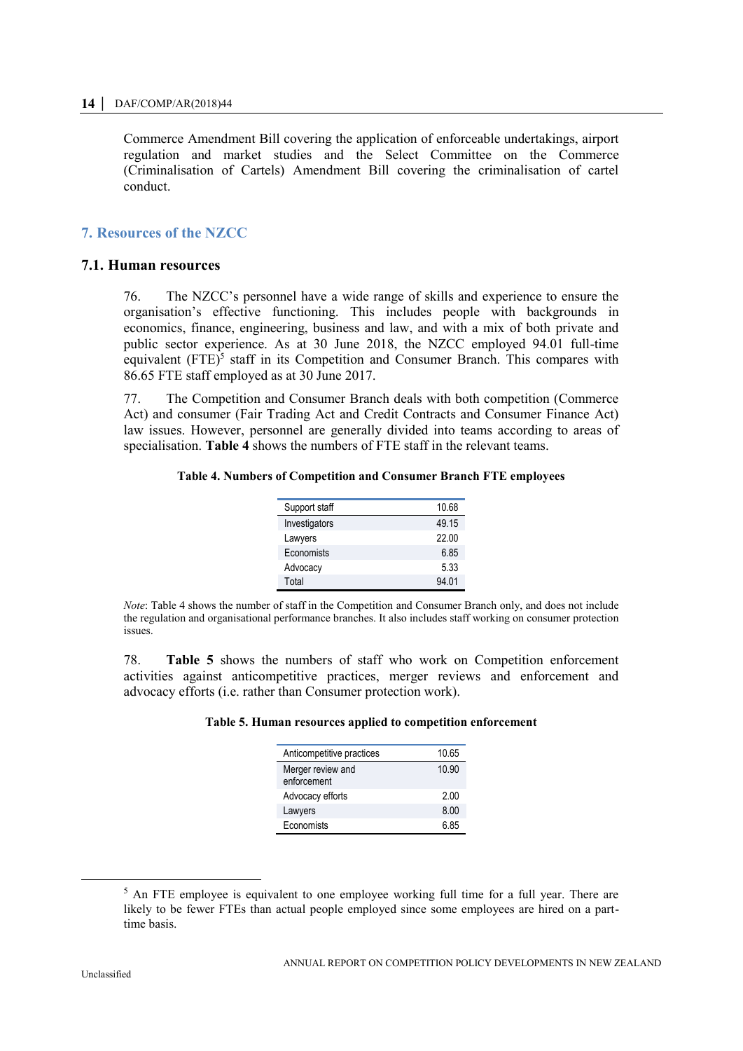Commerce Amendment Bill covering the application of enforceable undertakings, airport regulation and market studies and the Select Committee on the Commerce (Criminalisation of Cartels) Amendment Bill covering the criminalisation of cartel conduct.

# <span id="page-13-0"></span>**7. Resources of the NZCC**

# <span id="page-13-1"></span>**7.1. Human resources**

76. The NZCC's personnel have a wide range of skills and experience to ensure the organisation's effective functioning. This includes people with backgrounds in economics, finance, engineering, business and law, and with a mix of both private and public sector experience. As at 30 June 2018, the NZCC employed 94.01 full-time equivalent (FTE)<sup>5</sup> staff in its Competition and Consumer Branch. This compares with 86.65 FTE staff employed as at 30 June 2017.

<span id="page-13-2"></span>77. The Competition and Consumer Branch deals with both competition (Commerce Act) and consumer (Fair Trading Act and Credit Contracts and Consumer Finance Act) law issues. However, personnel are generally divided into teams according to areas of specialisation. **Table 4** shows the numbers of FTE staff in the relevant teams.

#### **Table 4. Numbers of Competition and Consumer Branch FTE employees**

| Support staff | 10.68 |
|---------------|-------|
| Investigators | 49.15 |
| Lawyers       | 22.00 |
| Economists    | 6.85  |
| Advocacy      | 5.33  |
| Total         | 94.01 |

*Note*: Table 4 shows the number of staff in the Competition and Consumer Branch only, and does not include the regulation and organisational performance branches. It also includes staff working on consumer protection issues.

<span id="page-13-3"></span>78. **Table 5** shows the numbers of staff who work on Competition enforcement activities against anticompetitive practices, merger reviews and enforcement and advocacy efforts (i.e. rather than Consumer protection work).

#### **Table 5. Human resources applied to competition enforcement**

| Anticompetitive practices        | 10.65 |
|----------------------------------|-------|
| Merger review and<br>enforcement | 10.90 |
| Advocacy efforts                 | 2.00  |
| Lawyers                          | 8.00  |
| Economists                       | 6.85  |

<sup>&</sup>lt;sup>5</sup> An FTE employee is equivalent to one employee working full time for a full year. There are likely to be fewer FTEs than actual people employed since some employees are hired on a parttime basis.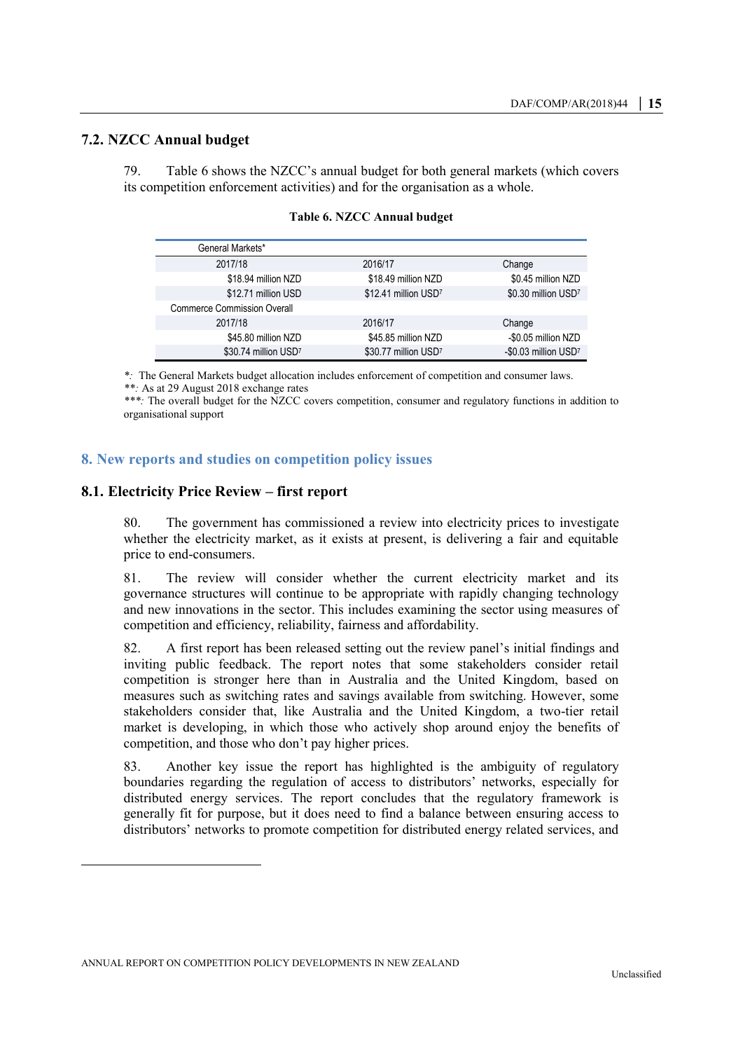# <span id="page-14-0"></span>**7.2. NZCC Annual budget**

<span id="page-14-3"></span>79. Table 6 shows the NZCC's annual budget for both general markets (which covers its competition enforcement activities) and for the organisation as a whole.

| General Markets*                   |                      |                      |
|------------------------------------|----------------------|----------------------|
| 2017/18                            | 2016/17              | Change               |
| \$18.94 million NZD                | \$18.49 million NZD  | \$0.45 million NZD   |
| \$12.71 million USD                | \$12.41 million USD7 | \$0.30 million USD7  |
| <b>Commerce Commission Overall</b> |                      |                      |
| 2017/18                            | 2016/17              | Change               |
| \$45.80 million NZD                | \$45.85 million NZD  | -\$0.05 million NZD  |
| \$30.74 million USD7               | \$30.77 million USD7 | -\$0.03 million USD7 |

**Table 6. NZCC Annual budget**

*\*:* The General Markets budget allocation includes enforcement of competition and consumer laws.

*\*\*:* As at 29 August 2018 exchange rates

*\*\*\*:* The overall budget for the NZCC covers competition, consumer and regulatory functions in addition to organisational support

## <span id="page-14-1"></span>**8. New reports and studies on competition policy issues**

## <span id="page-14-2"></span>**8.1. Electricity Price Review – first report**

80. The government has commissioned a review into electricity prices to investigate whether the electricity market, as it exists at present, is delivering a fair and equitable price to end-consumers.

81. The review will consider whether the current electricity market and its governance structures will continue to be appropriate with rapidly changing technology and new innovations in the sector. This includes examining the sector using measures of competition and efficiency, reliability, fairness and affordability.

82. A first report has been released setting out the review panel's initial findings and inviting public feedback. The report notes that some stakeholders consider retail competition is stronger here than in Australia and the United Kingdom, based on measures such as switching rates and savings available from switching. However, some stakeholders consider that, like Australia and the United Kingdom, a two-tier retail market is developing, in which those who actively shop around enjoy the benefits of competition, and those who don't pay higher prices.

83. Another key issue the report has highlighted is the ambiguity of regulatory boundaries regarding the regulation of access to distributors' networks, especially for distributed energy services. The report concludes that the regulatory framework is generally fit for purpose, but it does need to find a balance between ensuring access to distributors' networks to promote competition for distributed energy related services, and